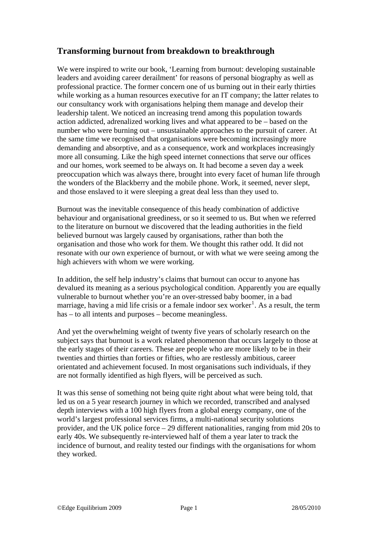# **Transforming burnout from breakdown to breakthrough**

We were inspired to write our book, 'Learning from burnout: developing sustainable leaders and avoiding career derailment' for reasons of personal biography as well as professional practice. The former concern one of us burning out in their early thirties while working as a human resources executive for an IT company; the latter relates to our consultancy work with organisations helping them manage and develop their leadership talent. We noticed an increasing trend among this population towards action addicted, adrenalized working lives and what appeared to be – based on the number who were burning out – unsustainable approaches to the pursuit of career. At the same time we recognised that organisations were becoming increasingly more demanding and absorptive, and as a consequence, work and workplaces increasingly more all consuming. Like the high speed internet connections that serve our offices and our homes, work seemed to be always on. It had become a seven day a week preoccupation which was always there, brought into every facet of human life through the wonders of the Blackberry and the mobile phone. Work, it seemed, never slept, and those enslaved to it were sleeping a great deal less than they used to.

Burnout was the inevitable consequence of this heady combination of addictive behaviour and organisational greediness, or so it seemed to us. But when we referred to the literature on burnout we discovered that the leading authorities in the field believed burnout was largely caused by organisations, rather than both the organisation and those who work for them. We thought this rather odd. It did not resonate with our own experience of burnout, or with what we were seeing among the high achievers with whom we were working.

In addition, the self help industry's claims that burnout can occur to anyone has devalued its meaning as a serious psychological condition. Apparently you are equally vulnerable to burnout whether you're an over-stressed baby boomer, in a bad marriage, having a mid life crisis or a female indoor sex worker<sup>[1](#page-5-0)</sup>. As a result, the term has – to all intents and purposes – become meaningless.

And yet the overwhelming weight of twenty five years of scholarly research on the subject says that burnout is a work related phenomenon that occurs largely to those at the early stages of their careers. These are people who are more likely to be in their twenties and thirties than forties or fifties, who are restlessly ambitious, career orientated and achievement focused. In most organisations such individuals, if they are not formally identified as high flyers, will be perceived as such.

It was this sense of something not being quite right about what were being told, that led us on a 5 year research journey in which we recorded, transcribed and analysed depth interviews with a 100 high flyers from a global energy company, one of the world's largest professional services firms, a multi-national security solutions provider, and the UK police force – 29 different nationalities, ranging from mid 20s to early 40s. We subsequently re-interviewed half of them a year later to track the incidence of burnout, and reality tested our findings with the organisations for whom they worked.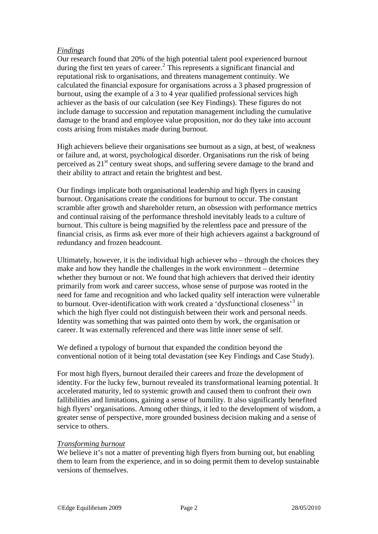### *Findings*

Our research found that 20% of the high potential talent pool experienced burnout during the first ten years of career.<sup>[2](#page-5-1)</sup> This represents a significant financial and reputational risk to organisations, and threatens management continuity. We calculated the financial exposure for organisations across a 3 phased progression of burnout, using the example of a 3 to 4 year qualified professional services high achiever as the basis of our calculation (see Key Findings). These figures do not include damage to succession and reputation management including the cumulative damage to the brand and employee value proposition, nor do they take into account costs arising from mistakes made during burnout.

High achievers believe their organisations see burnout as a sign, at best, of weakness or failure and, at worst, psychological disorder. Organisations run the risk of being perceived as 21<sup>st</sup> century sweat shops, and suffering severe damage to the brand and their ability to attract and retain the brightest and best.

Our findings implicate both organisational leadership and high flyers in causing burnout. Organisations create the conditions for burnout to occur. The constant scramble after growth and shareholder return, an obsession with performance metrics and continual raising of the performance threshold inevitably leads to a culture of burnout. This culture is being magnified by the relentless pace and pressure of the financial crisis, as firms ask ever more of their high achievers against a background of redundancy and frozen headcount.

Ultimately, however, it is the individual high achiever who – through the choices they make and how they handle the challenges in the work environment – determine whether they burnout or not. We found that high achievers that derived their identity primarily from work and career success, whose sense of purpose was rooted in the need for fame and recognition and who lacked quality self interaction were vulnerable to burnout. Over-identification with work created a 'dysfunctional closeness'<sup>[3](#page-5-1)</sup> in which the high flyer could not distinguish between their work and personal needs. Identity was something that was painted onto them by work, the organisation or career. It was externally referenced and there was little inner sense of self.

We defined a typology of burnout that expanded the condition beyond the conventional notion of it being total devastation (see Key Findings and Case Study).

For most high flyers, burnout derailed their careers and froze the development of identity. For the lucky few, burnout revealed its transformational learning potential. It accelerated maturity, led to systemic growth and caused them to confront their own fallibilities and limitations, gaining a sense of humility. It also significantly benefited high flyers' organisations. Among other things, it led to the development of wisdom, a greater sense of perspective, more grounded business decision making and a sense of service to others.

#### *Transforming burnout*

We believe it's not a matter of preventing high flyers from burning out, but enabling them to learn from the experience, and in so doing permit them to develop sustainable versions of themselves.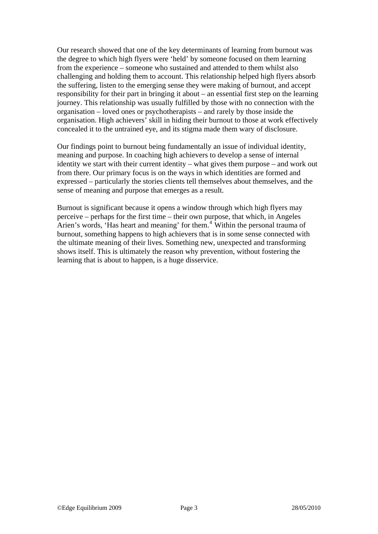Our research showed that one of the key determinants of learning from burnout was the degree to which high flyers were 'held' by someone focused on them learning from the experience – someone who sustained and attended to them whilst also challenging and holding them to account. This relationship helped high flyers absorb the suffering, listen to the emerging sense they were making of burnout, and accept responsibility for their part in bringing it about – an essential first step on the learning journey. This relationship was usually fulfilled by those with no connection with the organisation – loved ones or psychotherapists – and rarely by those inside the organisation. High achievers' skill in hiding their burnout to those at work effectively concealed it to the untrained eye, and its stigma made them wary of disclosure.

Our findings point to burnout being fundamentally an issue of individual identity, meaning and purpose. In coaching high achievers to develop a sense of internal identity we start with their current identity – what gives them purpose – and work out from there. Our primary focus is on the ways in which identities are formed and expressed – particularly the stories clients tell themselves about themselves, and the sense of meaning and purpose that emerges as a result.

Burnout is significant because it opens a window through which high flyers may perceive – perhaps for the first time – their own purpose, that which, in Angeles Arien's words, 'Has heart and meaning' for them.<sup>[4](#page-5-1)</sup> Within the personal trauma of burnout, something happens to high achievers that is in some sense connected with the ultimate meaning of their lives. Something new, unexpected and transforming shows itself. This is ultimately the reason why prevention, without fostering the learning that is about to happen, is a huge disservice.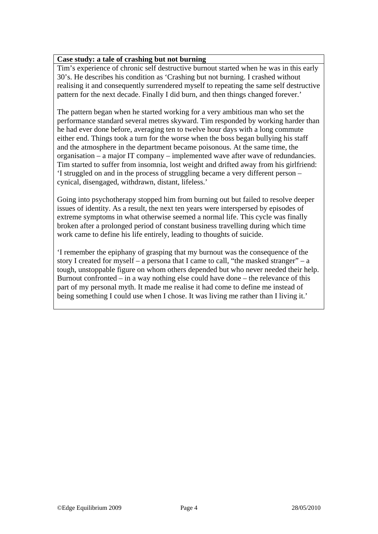### **Case study: a tale of crashing but not burning**

Tim's experience of chronic self destructive burnout started when he was in this early 30's. He describes his condition as 'Crashing but not burning. I crashed without realising it and consequently surrendered myself to repeating the same self destructive pattern for the next decade. Finally I did burn, and then things changed forever.'

The pattern began when he started working for a very ambitious man who set the performance standard several metres skyward. Tim responded by working harder than he had ever done before, averaging ten to twelve hour days with a long commute either end. Things took a turn for the worse when the boss began bullying his staff and the atmosphere in the department became poisonous. At the same time, the organisation – a major IT company – implemented wave after wave of redundancies. Tim started to suffer from insomnia, lost weight and drifted away from his girlfriend: 'I struggled on and in the process of struggling became a very different person – cynical, disengaged, withdrawn, distant, lifeless.'

Going into psychotherapy stopped him from burning out but failed to resolve deeper issues of identity. As a result, the next ten years were interspersed by episodes of extreme symptoms in what otherwise seemed a normal life. This cycle was finally broken after a prolonged period of constant business travelling during which time work came to define his life entirely, leading to thoughts of suicide.

'I remember the epiphany of grasping that my burnout was the consequence of the story I created for myself – a persona that I came to call, "the masked stranger" – a tough, unstoppable figure on whom others depended but who never needed their help. Burnout confronted – in a way nothing else could have done – the relevance of this part of my personal myth. It made me realise it had come to define me instead of being something I could use when I chose. It was living me rather than I living it.'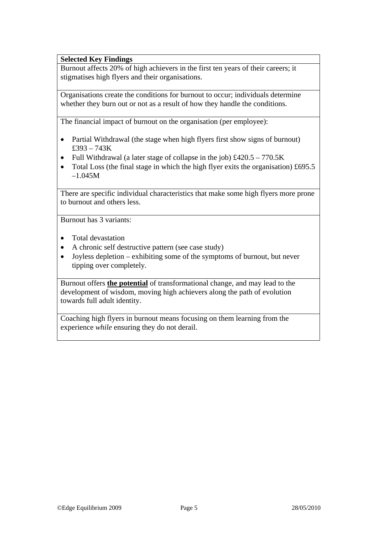### **Selected Key Findings**

Burnout affects 20% of high achievers in the first ten years of their careers; it stigmatises high flyers and their organisations.

Organisations create the conditions for burnout to occur; individuals determine whether they burn out or not as a result of how they handle the conditions.

The financial impact of burnout on the organisation (per employee):

- Partial Withdrawal (the stage when high flyers first show signs of burnout) £393 – 743K
- Full Withdrawal (a later stage of collapse in the job)  $\text{\pounds}420.5 770.5\text{K}$
- Total Loss (the final stage in which the high flyer exits the organisation) £695.5 –1.045M

There are specific individual characteristics that make some high flyers more prone to burnout and others less.

Burnout has 3 variants:

- Total devastation
- A chronic self destructive pattern (see case study)
- Joyless depletion exhibiting some of the symptoms of burnout, but never tipping over completely.

Burnout offers **the potential** of transformational change, and may lead to the development of wisdom, moving high achievers along the path of evolution towards full adult identity.

Coaching high flyers in burnout means focusing on them learning from the experience *while* ensuring they do not derail.